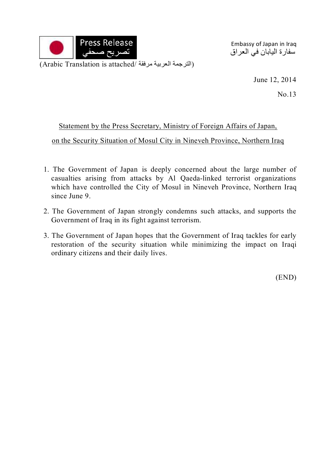

Embassy of Japan in Iraq سفارة اليابان في العراق

(Arabic Translation is attached/ الترجمة العربية مرفقة)

June 12, 2014

No.13

## Statement by the Press Secretary, Ministry of Foreign Affairs of Japan,

on the Security Situation of Mosul City in Nineveh Province, Northern Iraq

- 1. The Government of Japan is deeply concerned about the large number of casualties arising from attacks by Al Qaeda-linked terrorist organizations which have controlled the City of Mosul in Nineveh Province, Northern Iraq since June 9.
- 2. The Government of Japan strongly condemns such attacks, and supports the Government of Iraq in its fight against terrorism.
- 3. The Government of Japan hopes that the Government of Iraq tackles for early restoration of the security situation while minimizing the impact on Iraqi ordinary citizens and their daily lives.

(END)